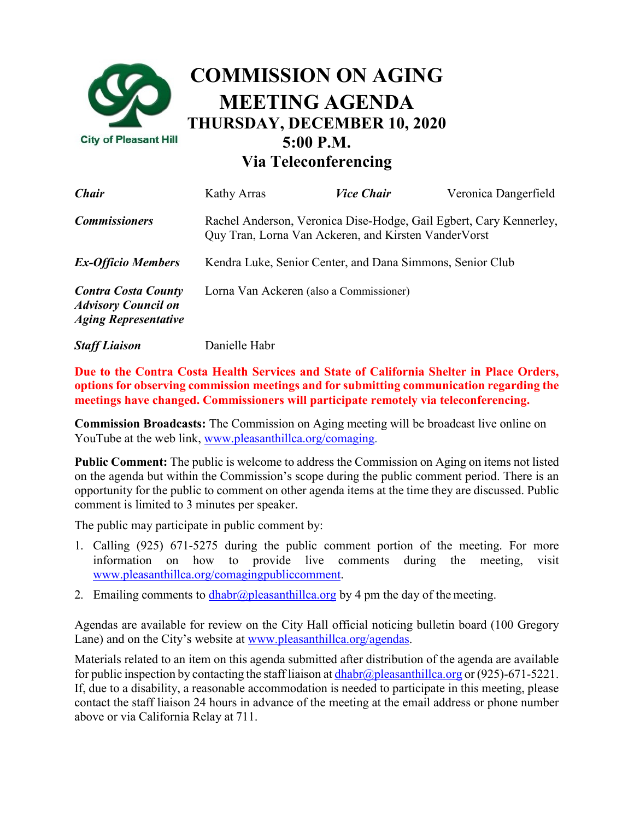

**Via Teleconferencing**

| Chair                                                                                   | Kathy Arras                                                                                                                 | <i><b>Vice Chair</b></i> | Veronica Dangerfield |
|-----------------------------------------------------------------------------------------|-----------------------------------------------------------------------------------------------------------------------------|--------------------------|----------------------|
| <b>Commissioners</b>                                                                    | Rachel Anderson, Veronica Dise-Hodge, Gail Egbert, Cary Kennerley,<br>Quy Tran, Lorna Van Ackeren, and Kirsten Vander Vorst |                          |                      |
| <b>Ex-Officio Members</b>                                                               | Kendra Luke, Senior Center, and Dana Simmons, Senior Club                                                                   |                          |                      |
| <b>Contra Costa County</b><br><b>Advisory Council on</b><br><b>Aging Representative</b> | Lorna Van Ackeren (also a Commissioner)                                                                                     |                          |                      |
| <b>Staff Liaison</b>                                                                    | Danielle Habr                                                                                                               |                          |                      |

**Due to the Contra Costa Health Services and State of California Shelter in Place Orders, options for observing commission meetings and for submitting communication regarding the meetings have changed. Commissioners will participate remotely via teleconferencing.**

**Commission Broadcasts:** The Commission on Aging meeting will be broadcast live online on YouTube at the web link, [www.pleasanthillca.org/comaging.](http://www.pleasanthillca.org/comaging)

**Public Comment:** The public is welcome to address the Commission on Aging on items not listed on the agenda but within the Commission's scope during the public comment period. There is an opportunity for the public to comment on other agenda items at the time they are discussed. Public comment is limited to 3 minutes per speaker.

The public may participate in public comment by:

- 1. Calling (925) 671-5275 during the public comment portion of the meeting. For more information on how to provide live comments during the meeting, visi[t](http://www.pleasanthillca.org/comagingpubliccomment) [www.pleasanthillca.org/comagingpubliccomment.](http://www.pleasanthillca.org/comagingpubliccomment)
- 2. Emailing comments to [dhabr@pleasanthillca.org](mailto:dhabr@pleasanthillca.org) by 4 pm the day of the meeting.

Agendas are available for review on the City Hall official noticing bulletin board (100 Gregory Lane) and on the City's website at [www.pleasanthillca.org/agendas.](http://www.pleasanthillca.org/agendas)

Materials related to an item on this agenda submitted after distribution of the agenda are available for public inspection by contacting the staff liaison at  $dhabr@p$  leasanthillca.org or (925)-671-5221. If, due to a disability, a reasonable accommodation is needed to participate in this meeting, please contact the staff liaison 24 hours in advance of the meeting at the email address or phone number above or via California Relay at 711.